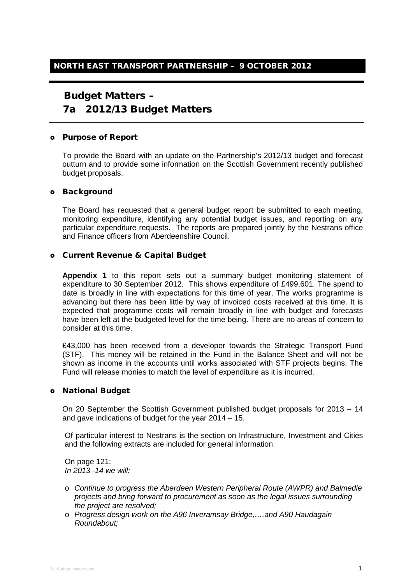## Budget Matters –

# 7a 2012/13 Budget Matters

#### Purpose of Report

To provide the Board with an update on the Partnership's 2012/13 budget and forecast outturn and to provide some information on the Scottish Government recently published budget proposals.

#### o Background

The Board has requested that a general budget report be submitted to each meeting, monitoring expenditure, identifying any potential budget issues, and reporting on any particular expenditure requests. The reports are prepared jointly by the Nestrans office and Finance officers from Aberdeenshire Council.

#### Current Revenue & Capital Budget

**Appendix 1** to this report sets out a summary budget monitoring statement of expenditure to 30 September 2012. This shows expenditure of £499,601. The spend to date is broadly in line with expectations for this time of year. The works programme is advancing but there has been little by way of invoiced costs received at this time. It is expected that programme costs will remain broadly in line with budget and forecasts have been left at the budgeted level for the time being. There are no areas of concern to consider at this time.

£43,000 has been received from a developer towards the Strategic Transport Fund (STF). This money will be retained in the Fund in the Balance Sheet and will not be shown as income in the accounts until works associated with STF projects begins. The Fund will release monies to match the level of expenditure as it is incurred.

## National Budget

On 20 September the Scottish Government published budget proposals for 2013 – 14 and gave indications of budget for the year 2014 – 15.

Of particular interest to Nestrans is the section on Infrastructure, Investment and Cities and the following extracts are included for general information.

On page 121: *In 2013 -14 we will:*

- o *Continue to progress the Aberdeen Western Peripheral Route (AWPR) and Balmedie projects and bring forward to procurement as soon as the legal issues surrounding the project are resolved;*
- o *Progress design work on the A96 Inveramsay Bridge,….and A90 Haudagain Roundabout;*